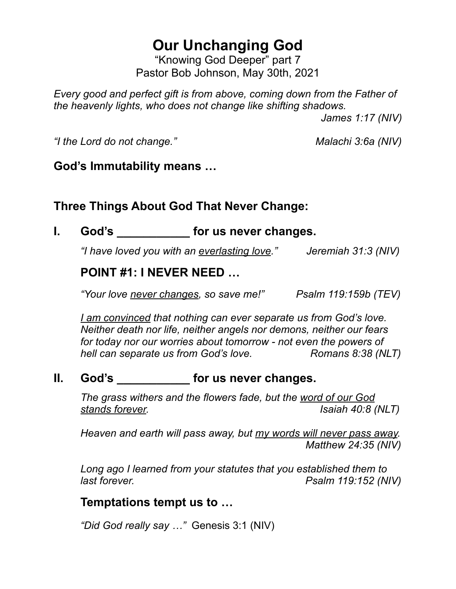# **Our Unchanging God**

"Knowing God Deeper" part 7 Pastor Bob Johnson, May 30th, 2021

*Every good and perfect gift is from above, coming down from the Father of the heavenly lights, who does not change like shifting shadows.* 

 *James 1:17 (NIV)*

*"I the Lord do not change." Malachi 3:6a (NIV)*

#### **God's Immutability means …**

## **Three Things About God That Never Change:**

## **I. God's \_\_\_\_\_\_\_\_\_\_\_ for us never changes.**

*"I have loved you with an everlasting love." Jeremiah 31:3 (NIV)*

#### **POINT #1: I NEVER NEED …**

*"Your love never changes, so save me!" Psalm 119:159b (TEV)*

*I am convinced that nothing can ever separate us from God's love. Neither death nor life, neither angels nor demons, neither our fears for today nor our worries about tomorrow - not even the powers of hell can separate us from God's love.* Romans 8:38 (NLT)

#### **II. God's \_\_\_\_\_\_\_\_\_\_\_ for us never changes.**

*The grass withers and the flowers fade, but the word of our God stands forever. Isaiah 40:8 (NLT)*

*Heaven and earth will pass away, but my words will never pass away. Matthew 24:35 (NIV)*

*Long ago I learned from your statutes that you established them to last forever. Psalm 119:152 (NIV)* 

#### **Temptations tempt us to …**

*"Did God really say …"* Genesis 3:1 (NIV)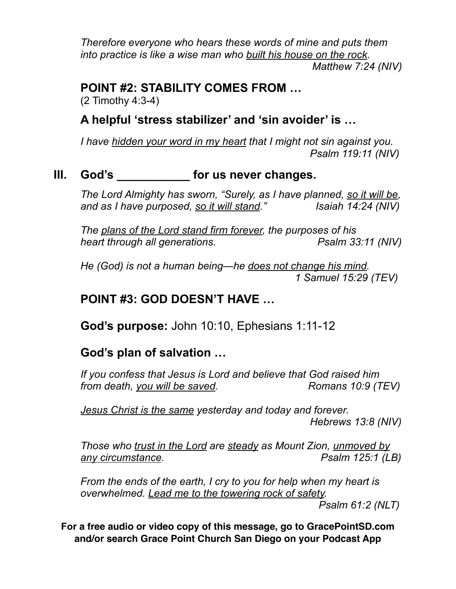*Therefore everyone who hears these words of mine and puts them into practice is like a wise man who built his house on the rock. Matthew 7:24 (NIV)*

## **POINT #2: STABILITY COMES FROM …**

(2 Timothy 4:3-4)

### **A helpful 'stress stabilizer' and 'sin avoider' is …**

*I have hidden your word in my heart that I might not sin against you. Psalm 119:11 (NIV)*

#### **III. God's \_\_\_\_\_\_\_\_\_\_\_ for us never changes.**

*The Lord Almighty has sworn, "Surely, as I have planned, so it will be, and as I have purposed, so it will stand." Isaiah 14:24 (NIV)*

*The plans of the Lord stand firm forever, the purposes of his heart through all generations.* Psalm 33:11 (NIV)

*He (God) is not a human being—he does not change his mind. 1 Samuel 15:29 (TEV)*

### **POINT #3: GOD DOESN'T HAVE …**

**God's purpose:** John 10:10, Ephesians 1:11-12

## **God's plan of salvation …**

*If you confess that Jesus is Lord and believe that God raised him from death, you will be saved.* Romans 10:9 (TEV)

*Jesus Christ is the same yesterday and today and forever. Hebrews 13:8 (NIV)*

*Those who trust in the Lord are steady as Mount Zion, unmoved by any circumstance. Psalm 125:1 (LB)*

*From the ends of the earth, I cry to you for help when my heart is overwhelmed. Lead me to the towering rock of safety.*

 *Psalm 61:2 (NLT)*

**For a free audio or video copy of this message, go to GracePointSD.com and/or search Grace Point Church San Diego on your Podcast App**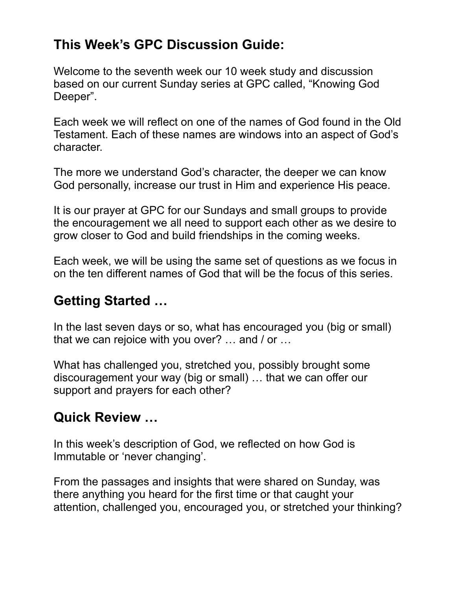## **This Week's GPC Discussion Guide:**

Welcome to the seventh week our 10 week study and discussion based on our current Sunday series at GPC called, "Knowing God Deeper".

Each week we will reflect on one of the names of God found in the Old Testament. Each of these names are windows into an aspect of God's character.

The more we understand God's character, the deeper we can know God personally, increase our trust in Him and experience His peace.

It is our prayer at GPC for our Sundays and small groups to provide the encouragement we all need to support each other as we desire to grow closer to God and build friendships in the coming weeks.

Each week, we will be using the same set of questions as we focus in on the ten different names of God that will be the focus of this series.

## **Getting Started …**

In the last seven days or so, what has encouraged you (big or small) that we can rejoice with you over? … and / or …

What has challenged you, stretched you, possibly brought some discouragement your way (big or small) … that we can offer our support and prayers for each other?

## **Quick Review …**

In this week's description of God, we reflected on how God is Immutable or 'never changing'.

From the passages and insights that were shared on Sunday, was there anything you heard for the first time or that caught your attention, challenged you, encouraged you, or stretched your thinking?